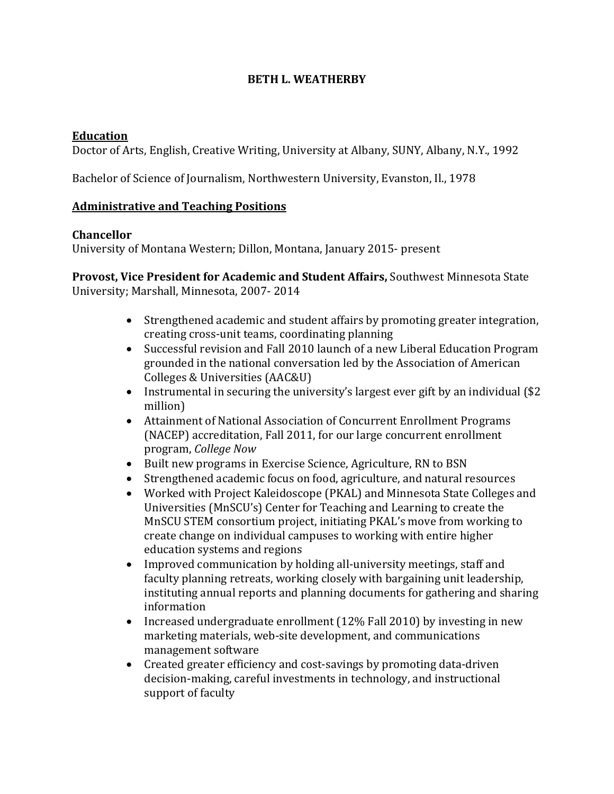### **BETH L. WEATHERBY**

#### **Education**

Doctor of Arts, English, Creative Writing, University at Albany, SUNY, Albany, N.Y., 1992

Bachelor of Science of Journalism, Northwestern University, Evanston, Il., 1978

#### **Administrative and Teaching Positions**

#### **Chancellor**

University of Montana Western; Dillon, Montana, January 2015- present

#### **Provost, Vice President for Academic and Student Affairs,** Southwest Minnesota State University; Marshall, Minnesota, 2007- 2014

- Strengthened academic and student affairs by promoting greater integration, creating cross-unit teams, coordinating planning
- Successful revision and Fall 2010 launch of a new Liberal Education Program grounded in the national conversation led by the Association of American Colleges & Universities (AAC&U)
- Instrumental in securing the university's largest ever gift by an individual (\$2 million)
- Attainment of National Association of Concurrent Enrollment Programs (NACEP) accreditation, Fall 2011, for our large concurrent enrollment program, *College Now*
- Built new programs in Exercise Science, Agriculture, RN to BSN
- Strengthened academic focus on food, agriculture, and natural resources
- Worked with Project Kaleidoscope (PKAL) and Minnesota State Colleges and Universities (MnSCU's) Center for Teaching and Learning to create the MnSCU STEM consortium project, initiating PKAL's move from working to create change on individual campuses to working with entire higher education systems and regions
- Improved communication by holding all-university meetings, staff and faculty planning retreats, working closely with bargaining unit leadership, instituting annual reports and planning documents for gathering and sharing information
- Increased undergraduate enrollment (12% Fall 2010) by investing in new marketing materials, web-site development, and communications management software
- Created greater efficiency and cost-savings by promoting data-driven decision-making, careful investments in technology, and instructional support of faculty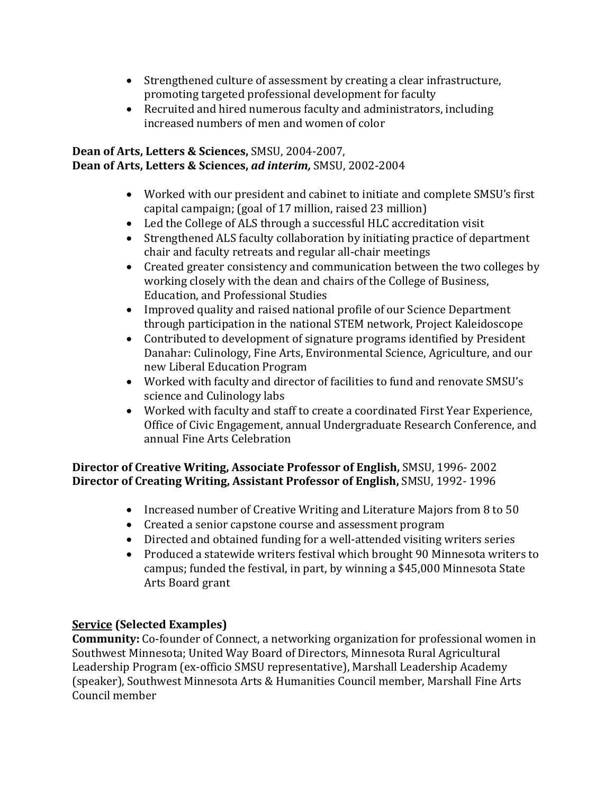- Strengthened culture of assessment by creating a clear infrastructure, promoting targeted professional development for faculty
- Recruited and hired numerous faculty and administrators, including increased numbers of men and women of color

### **Dean of Arts, Letters & Sciences,** SMSU, 2004-2007, **Dean of Arts, Letters & Sciences,** *ad interim,* SMSU, 2002-2004

- Worked with our president and cabinet to initiate and complete SMSU's first capital campaign; (goal of 17 million, raised 23 million)
- Led the College of ALS through a successful HLC accreditation visit
- Strengthened ALS faculty collaboration by initiating practice of department chair and faculty retreats and regular all-chair meetings
- Created greater consistency and communication between the two colleges by working closely with the dean and chairs of the College of Business, Education, and Professional Studies
- Improved quality and raised national profile of our Science Department through participation in the national STEM network, Project Kaleidoscope
- Contributed to development of signature programs identified by President Danahar: Culinology, Fine Arts, Environmental Science, Agriculture, and our new Liberal Education Program
- Worked with faculty and director of facilities to fund and renovate SMSU's science and Culinology labs
- Worked with faculty and staff to create a coordinated First Year Experience, Office of Civic Engagement, annual Undergraduate Research Conference, and annual Fine Arts Celebration

## **Director of Creative Writing, Associate Professor of English,** SMSU, 1996- 2002 **Director of Creating Writing, Assistant Professor of English,** SMSU, 1992- 1996

- Increased number of Creative Writing and Literature Majors from 8 to 50
- Created a senior capstone course and assessment program
- Directed and obtained funding for a well-attended visiting writers series
- Produced a statewide writers festival which brought 90 Minnesota writers to campus; funded the festival, in part, by winning a \$45,000 Minnesota State Arts Board grant

# **Service (Selected Examples)**

**Community:** Co-founder of Connect, a networking organization for professional women in Southwest Minnesota; United Way Board of Directors, Minnesota Rural Agricultural Leadership Program (ex-officio SMSU representative), Marshall Leadership Academy (speaker), Southwest Minnesota Arts & Humanities Council member, Marshall Fine Arts Council member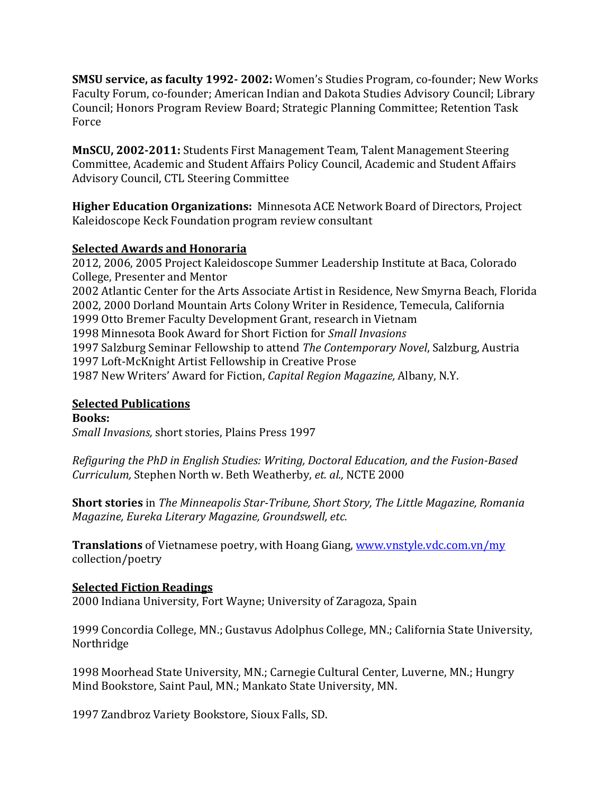**SMSU service, as faculty 1992- 2002:** Women's Studies Program, co-founder; New Works Faculty Forum, co-founder; American Indian and Dakota Studies Advisory Council; Library Council; Honors Program Review Board; Strategic Planning Committee; Retention Task Force

**MnSCU, 2002-2011:** Students First Management Team, Talent Management Steering Committee, Academic and Student Affairs Policy Council, Academic and Student Affairs Advisory Council, CTL Steering Committee

**Higher Education Organizations:** Minnesota ACE Network Board of Directors, Project Kaleidoscope Keck Foundation program review consultant

### **Selected Awards and Honoraria**

2012, 2006, 2005 Project Kaleidoscope Summer Leadership Institute at Baca, Colorado College, Presenter and Mentor 2002 Atlantic Center for the Arts Associate Artist in Residence, New Smyrna Beach, Florida 2002, 2000 Dorland Mountain Arts Colony Writer in Residence, Temecula, California 1999 Otto Bremer Faculty Development Grant, research in Vietnam 1998 Minnesota Book Award for Short Fiction for *Small Invasions* 1997 Salzburg Seminar Fellowship to attend *The Contemporary Novel*, Salzburg, Austria 1997 Loft-McKnight Artist Fellowship in Creative Prose 1987 New Writers' Award for Fiction, *Capital Region Magazine,* Albany, N.Y.

## **Selected Publications**

**Books:** *Small Invasions,* short stories, Plains Press 1997

*Refiguring the PhD in English Studies: Writing, Doctoral Education, and the Fusion-Based Curriculum,* Stephen North w. Beth Weatherby, *et. al.,* NCTE 2000

**Short stories** in *The Minneapolis Star-Tribune, Short Story, The Little Magazine, Romania Magazine, Eureka Literary Magazine, Groundswell, etc.*

**Translations** of Vietnamese poetry, with Hoang Giang, [www.vnstyle.vdc.com.vn/my](http://www.vnstyle.vdc.com.vn/my) collection/poetry

## **Selected Fiction Readings**

2000 Indiana University, Fort Wayne; University of Zaragoza, Spain

1999 Concordia College, MN.; Gustavus Adolphus College, MN.; California State University, Northridge

1998 Moorhead State University, MN.; Carnegie Cultural Center, Luverne, MN.; Hungry Mind Bookstore, Saint Paul, MN.; Mankato State University, MN.

1997 Zandbroz Variety Bookstore, Sioux Falls, SD.